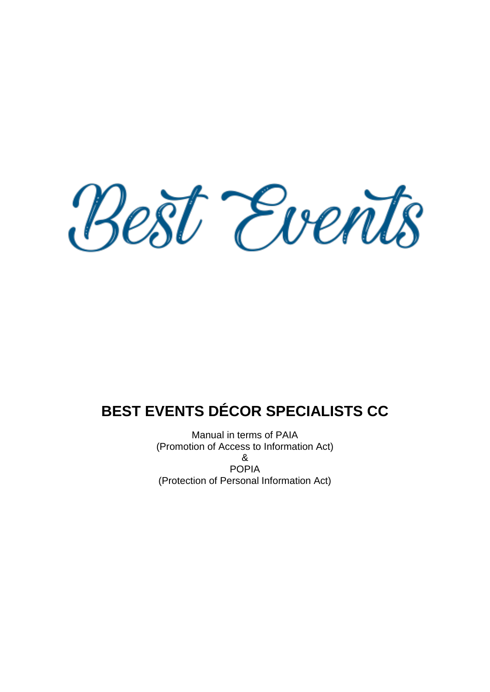

# **BEST EVENTS DÉCOR SPECIALISTS CC**

Manual in terms of PAIA (Promotion of Access to Information Act) & POPIA

(Protection of Personal Information Act)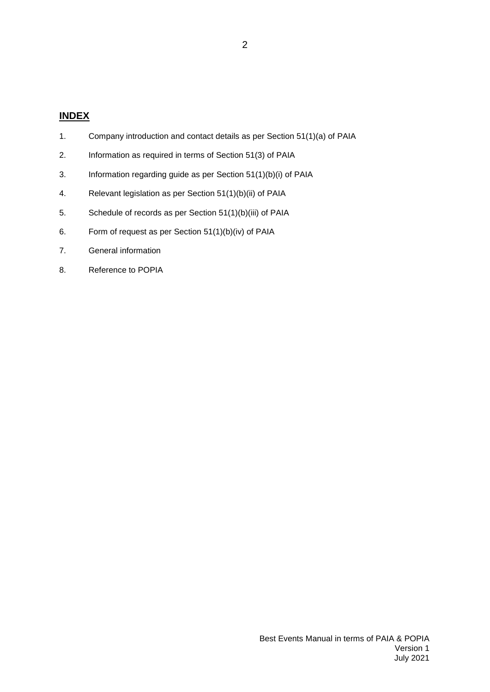# **INDEX**

| 2. | Information as required in terms of Section 51(3) of PAIA      |
|----|----------------------------------------------------------------|
| 3. | Information regarding guide as per Section 51(1)(b)(i) of PAIA |
| 4. | Relevant legislation as per Section 51(1)(b)(ii) of PAIA       |
| 5. | Schedule of records as per Section 51(1)(b)(iii) of PAIA       |
| 6. | Form of request as per Section 51(1)(b)(iv) of PAIA            |
| 7. | General information                                            |
| 8. | Reference to POPIA                                             |
|    |                                                                |
|    |                                                                |

1. Company introduction and contact details as per Section 51(1)(a) of PAIA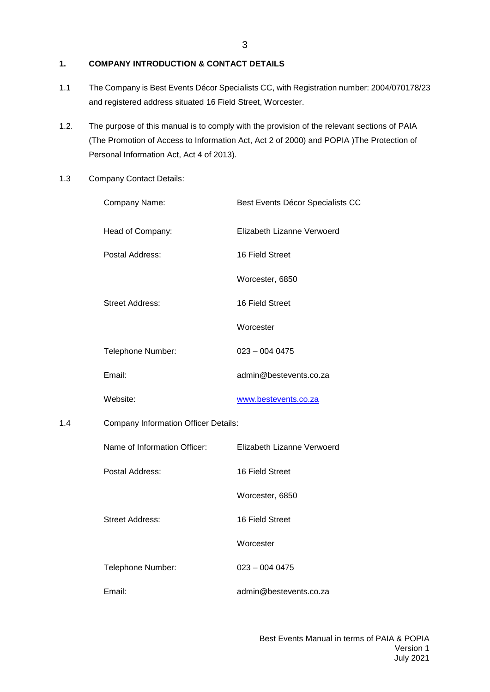# **1. COMPANY INTRODUCTION & CONTACT DETAILS**

- 1.1 The Company is Best Events Décor Specialists CC, with Registration number: 2004/070178/23 and registered address situated 16 Field Street, Worcester.
- 1.2. The purpose of this manual is to comply with the provision of the relevant sections of PAIA (The Promotion of Access to Information Act, Act 2 of 2000) and POPIA )The Protection of Personal Information Act, Act 4 of 2013).

# 1.3 Company Contact Details:

|     | Company Name:                               | Best Events Décor Specialists CC |  |  |
|-----|---------------------------------------------|----------------------------------|--|--|
|     | Head of Company:                            | Elizabeth Lizanne Verwoerd       |  |  |
|     | Postal Address:                             | 16 Field Street                  |  |  |
|     |                                             | Worcester, 6850                  |  |  |
|     | <b>Street Address:</b>                      | 16 Field Street                  |  |  |
|     |                                             | Worcester                        |  |  |
|     | Telephone Number:                           | $023 - 0040475$                  |  |  |
|     | Email:                                      | admin@bestevents.co.za           |  |  |
|     | Website:                                    | www.bestevents.co.za             |  |  |
| 1.4 | <b>Company Information Officer Details:</b> |                                  |  |  |
|     | Name of Information Officer:                | Elizabeth Lizanne Verwoerd       |  |  |
|     | Postal Address:                             | 16 Field Street                  |  |  |
|     |                                             | Worcester, 6850                  |  |  |
|     | <b>Street Address:</b>                      | 16 Field Street                  |  |  |
|     |                                             | Worcester                        |  |  |
|     | Telephone Number:                           | $023 - 0040475$                  |  |  |
|     | Email:                                      | admin@bestevents.co.za           |  |  |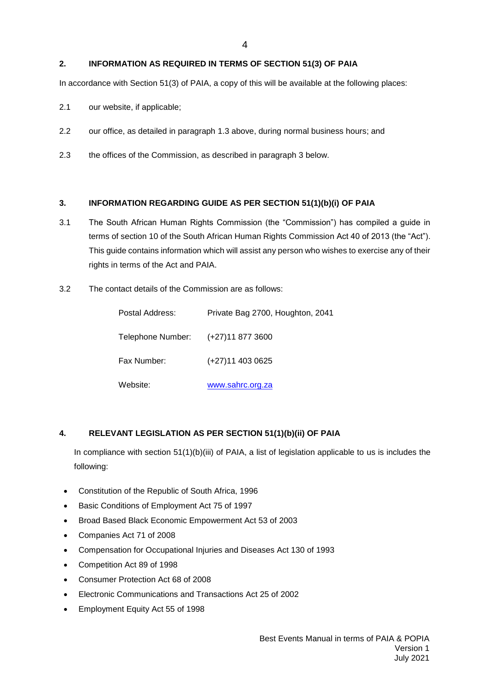# **2. INFORMATION AS REQUIRED IN TERMS OF SECTION 51(3) OF PAIA**

In accordance with Section 51(3) of PAIA, a copy of this will be available at the following places:

- 2.1 our website, if applicable;
- 2.2 our office, as detailed in paragraph 1.3 above, during normal business hours; and
- 2.3 the offices of the Commission, as described in paragraph 3 below.

#### **3. INFORMATION REGARDING GUIDE AS PER SECTION 51(1)(b)(i) OF PAIA**

- 3.1 The South African Human Rights Commission (the "Commission") has compiled a guide in terms of section 10 of the South African Human Rights Commission Act 40 of 2013 (the "Act"). This guide contains information which will assist any person who wishes to exercise any of their rights in terms of the Act and PAIA.
- 3.2 The contact details of the Commission are as follows:

| Postal Address:   | Private Bag 2700, Houghton, 2041 |
|-------------------|----------------------------------|
| Telephone Number: | $(+27)$ 11 877 3600              |
| Fax Number:       | (+27)11 403 0625                 |
| Website:          | www.sahrc.org.za                 |

#### **4. RELEVANT LEGISLATION AS PER SECTION 51(1)(b)(ii) OF PAIA**

In compliance with section  $51(1)(b)(iii)$  of PAIA, a list of legislation applicable to us is includes the following:

- Constitution of the Republic of South Africa, 1996
- Basic Conditions of Employment Act 75 of 1997
- Broad Based Black Economic Empowerment Act 53 of 2003
- Companies Act 71 of 2008
- Compensation for Occupational Injuries and Diseases Act 130 of 1993
- Competition Act 89 of 1998
- Consumer Protection Act 68 of 2008
- Electronic Communications and Transactions Act 25 of 2002
- Employment Equity Act 55 of 1998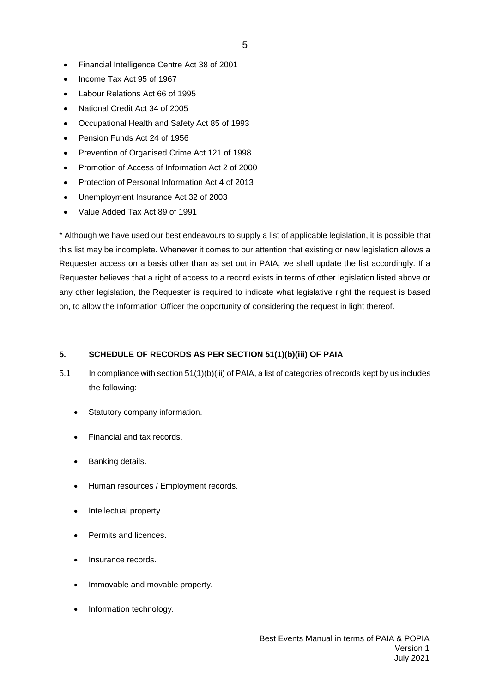- Financial Intelligence Centre Act 38 of 2001
- Income Tax Act 95 of 1967
- Labour Relations Act 66 of 1995
- National Credit Act 34 of 2005
- Occupational Health and Safety Act 85 of 1993
- Pension Funds Act 24 of 1956
- Prevention of Organised Crime Act 121 of 1998
- Promotion of Access of Information Act 2 of 2000
- Protection of Personal Information Act 4 of 2013
- Unemployment Insurance Act 32 of 2003
- Value Added Tax Act 89 of 1991

\* Although we have used our best endeavours to supply a list of applicable legislation, it is possible that this list may be incomplete. Whenever it comes to our attention that existing or new legislation allows a Requester access on a basis other than as set out in PAIA, we shall update the list accordingly. If a Requester believes that a right of access to a record exists in terms of other legislation listed above or any other legislation, the Requester is required to indicate what legislative right the request is based on, to allow the Information Officer the opportunity of considering the request in light thereof.

#### **5. SCHEDULE OF RECORDS AS PER SECTION 51(1)(b)(iii) OF PAIA**

- 5.1 In compliance with section 51(1)(b)(iii) of PAIA, a list of categories of records kept by us includes the following:
	- Statutory company information.
	- Financial and tax records.
	- Banking details.
	- Human resources / Employment records.
	- Intellectual property.
	- Permits and licences.
	- Insurance records.
	- Immovable and movable property.
	- Information technology.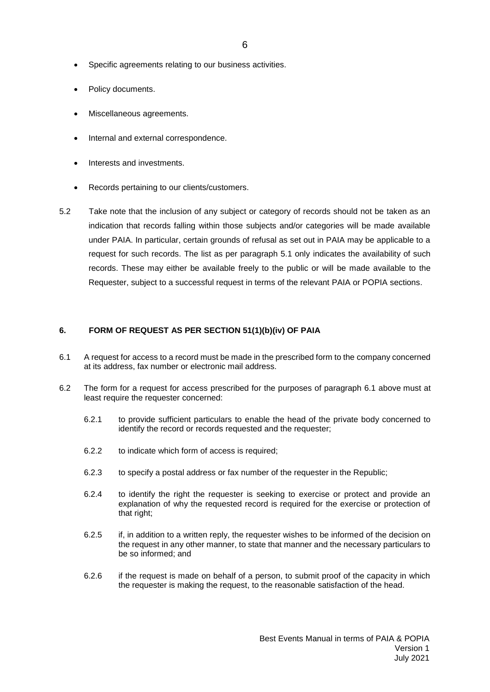- Specific agreements relating to our business activities.
- Policy documents.
- Miscellaneous agreements.
- Internal and external correspondence.
- Interests and investments.
- Records pertaining to our clients/customers.
- 5.2 Take note that the inclusion of any subject or category of records should not be taken as an indication that records falling within those subjects and/or categories will be made available under PAIA. In particular, certain grounds of refusal as set out in PAIA may be applicable to a request for such records. The list as per paragraph 5.1 only indicates the availability of such records. These may either be available freely to the public or will be made available to the Requester, subject to a successful request in terms of the relevant PAIA or POPIA sections.

# **6. FORM OF REQUEST AS PER SECTION 51(1)(b)(iv) OF PAIA**

- 6.1 A request for access to a record must be made in the prescribed form to the company concerned at its address, fax number or electronic mail address.
- 6.2 The form for a request for access prescribed for the purposes of [paragraph](https://www.mylexisnexis.co.za/Library/IframeContent.aspx?dpath=zb/jilc/kilc/xjsg/1tsg/3ymsb/k0msb&ismultiview=False&caAu=#g1) 6.1 above must at least require the requester concerned:
	- 6.2.1 to provide sufficient particulars to enable the head of the private body concerned to identify the record or records requested and the requester;
	- 6.2.2 to indicate which form of access is required;
	- 6.2.3 to specify a postal address or fax number of the requester in the Republic;
	- 6.2.4 to identify the right the requester is seeking to exercise or protect and provide an explanation of why the requested record is required for the exercise or protection of that right:
	- 6.2.5 if, in addition to a written reply, the requester wishes to be informed of the decision on the request in any other manner, to state that manner and the necessary particulars to be so informed; and
	- 6.2.6 if the request is made on behalf of a person, to submit proof of the capacity in which the requester is making the request, to the reasonable satisfaction of the head.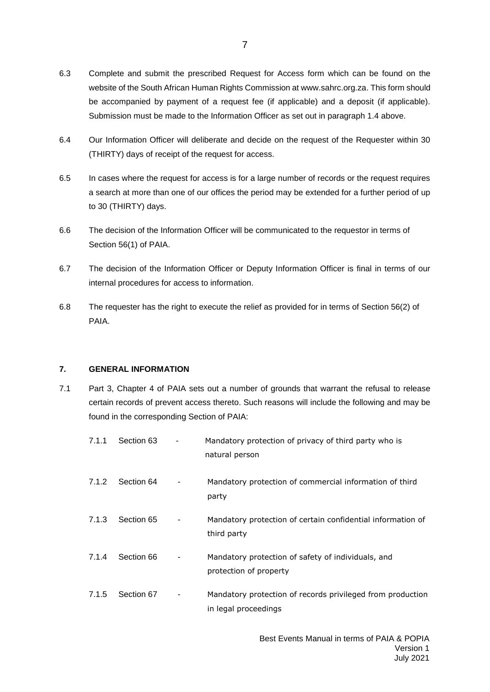- 6.3 Complete and submit the prescribed Request for Access form which can be found on the website of the South African Human Rights Commission at www.sahrc.org.za. This form should be accompanied by payment of a request fee (if applicable) and a deposit (if applicable). Submission must be made to the Information Officer as set out in paragraph 1.4 above.
- 6.4 Our Information Officer will deliberate and decide on the request of the Requester within 30 (THIRTY) days of receipt of the request for access.
- 6.5 In cases where the request for access is for a large number of records or the request requires a search at more than one of our offices the period may be extended for a further period of up to 30 (THIRTY) days.
- 6.6 The decision of the Information Officer will be communicated to the requestor in terms of Section 56(1) of PAIA.
- 6.7 The decision of the Information Officer or Deputy Information Officer is final in terms of our internal procedures for access to information.
- 6.8 The requester has the right to execute the relief as provided for in terms of Section 56(2) of PAIA.

#### **7. GENERAL INFORMATION**

7.1 Part 3, Chapter 4 of PAIA sets out a number of grounds that warrant the refusal to release certain records of prevent access thereto. Such reasons will include the following and may be found in the corresponding Section of PAIA:

| 7.1.1 | Section 63 | Mandatory protection of privacy of third party who is<br>natural person            |
|-------|------------|------------------------------------------------------------------------------------|
| 7.1.2 | Section 64 | Mandatory protection of commercial information of third<br>party                   |
| 7.1.3 | Section 65 | Mandatory protection of certain confidential information of<br>third party         |
| 7.1.4 | Section 66 | Mandatory protection of safety of individuals, and<br>protection of property       |
| 7.1.5 | Section 67 | Mandatory protection of records privileged from production<br>in legal proceedings |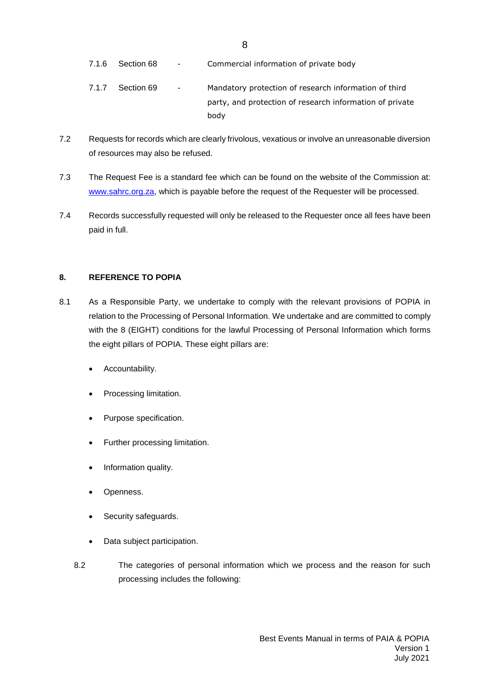- 7.1.6 Section 68 Commercial information of private body
- 7.1.7 Section 69 Mandatory protection of research information of third party, and protection of research information of private body
- 7.2 Requests for records which are clearly frivolous, vexatious or involve an unreasonable diversion of resources may also be refused.
- 7.3 The Request Fee is a standard fee which can be found on the website of the Commission at: [www.sahrc.org.za,](http://www.sahrc.org.za/) which is payable before the request of the Requester will be processed.
- 7.4 Records successfully requested will only be released to the Requester once all fees have been paid in full.

# **8. REFERENCE TO POPIA**

- 8.1 As a Responsible Party, we undertake to comply with the relevant provisions of POPIA in relation to the Processing of Personal Information. We undertake and are committed to comply with the 8 (EIGHT) conditions for the lawful Processing of Personal Information which forms the eight pillars of POPIA. These eight pillars are:
	- Accountability.
	- Processing limitation.
	- Purpose specification.
	- Further processing limitation.
	- Information quality.
	- Openness.
	- Security safeguards.
	- Data subject participation.
	- 8.2 The categories of personal information which we process and the reason for such processing includes the following: